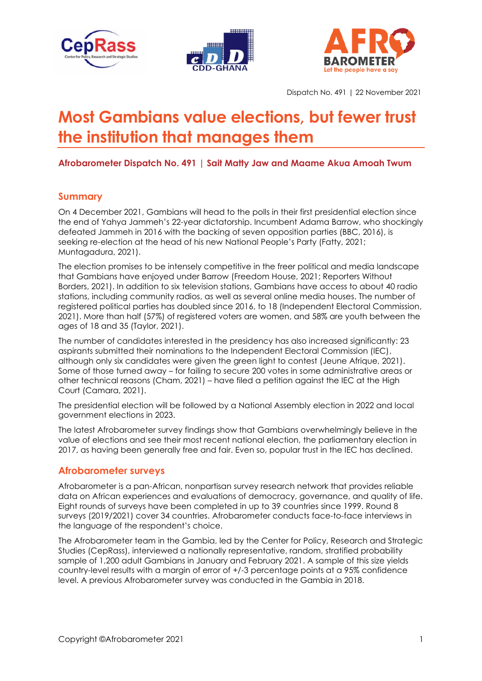





Dispatch No. 491 | 22 November 2021

# **Most Gambians value elections, but fewer trust the institution that manages them**

# **Afrobarometer Dispatch No. 491 | Sait Matty Jaw and Maame Akua Amoah Twum**

# **Summary**

On 4 December 2021, Gambians will head to the polls in their first presidential election since the end of Yahya Jammeh's 22-year dictatorship. Incumbent Adama Barrow, who shockingly defeated Jammeh in 2016 with the backing of seven opposition parties (BBC, 2016), is seeking re-election at the head of his new National People's Party (Fatty, 2021; Muntagadura, 2021).

The election promises to be intensely competitive in the freer political and media landscape that Gambians have enjoyed under Barrow (Freedom House, 2021; Reporters Without Borders, 2021). In addition to six television stations, Gambians have access to about 40 radio stations, including community radios, as well as several online media houses. The number of registered political parties has doubled since 2016, to 18 (Independent Electoral Commission, 2021). More than half (57%) of registered voters are women, and 58% are youth between the ages of 18 and 35 (Taylor, 2021).

The number of candidates interested in the presidency has also increased significantly: 23 aspirants submitted their nominations to the Independent Electoral Commission (IEC), although only six candidates were given the green light to contest (Jeune Afrique, 2021). Some of those turned away – for failing to secure 200 votes in some administrative areas or other technical reasons (Cham, 2021) – have filed a petition against the IEC at the High Court (Camara, 2021).

The presidential election will be followed by a National Assembly election in 2022 and local government elections in 2023.

The latest Afrobarometer survey findings show that Gambians overwhelmingly believe in the value of elections and see their most recent national election, the parliamentary election in 2017, as having been generally free and fair. Even so, popular trust in the IEC has declined.

## **Afrobarometer surveys**

Afrobarometer is a pan-African, nonpartisan survey research network that provides reliable data on African experiences and evaluations of democracy, governance, and quality of life. Eight rounds of surveys have been completed in up to 39 countries since 1999. Round 8 surveys (2019/2021) cover 34 countries. Afrobarometer conducts face-to-face interviews in the language of the respondent's choice.

The Afrobarometer team in the Gambia, led by the Center for Policy, Research and Strategic Studies (CepRass), interviewed a nationally representative, random, stratified probability sample of 1,200 adult Gambians in January and February 2021. A sample of this size yields country-level results with a margin of error of +/-3 percentage points at a 95% confidence level. A previous Afrobarometer survey was conducted in the Gambia in 2018.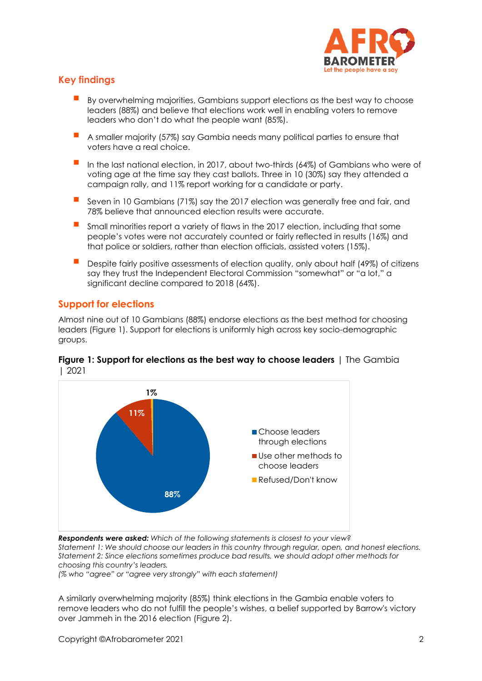

# **Key findings**

- By overwhelming majorities, Gambians support elections as the best way to choose leaders (88%) and believe that elections work well in enabling voters to remove leaders who don't do what the people want (85%).
- A smaller majority (57%) say Gambia needs many political parties to ensure that voters have a real choice.
- In the last national election, in 2017, about two-thirds (64%) of Gambians who were of voting age at the time say they cast ballots. Three in 10 (30%) say they attended a campaign rally, and 11% report working for a candidate or party.
- Seven in 10 Gambians (71%) say the 2017 election was generally free and fair, and 78% believe that announced election results were accurate.
- Small minorities report a variety of flaws in the 2017 election, including that some people's votes were not accurately counted or fairly reflected in results (16%) and that police or soldiers, rather than election officials, assisted voters (15%).
- Despite fairly positive assessments of election quality, only about half (49%) of citizens say they trust the Independent Electoral Commission "somewhat" or "a lot," a significant decline compared to 2018 (64%).

# **Support for elections**

Almost nine out of 10 Gambians (88%) endorse elections as the best method for choosing leaders (Figure 1). Support for elections is uniformly high across key socio-demographic groups.





*Respondents were asked: Which of the following statements is closest to your view? Statement 1: We should choose our leaders in this country through regular, open, and honest elections. Statement 2: Since elections sometimes produce bad results, we should adopt other methods for choosing this country's leaders.*

*(% who "agree" or "agree very strongly" with each statement)*

A similarly overwhelming majority (85%) think elections in the Gambia enable voters to remove leaders who do not fulfill the people's wishes, a belief supported by Barrow's victory over Jammeh in the 2016 election (Figure 2).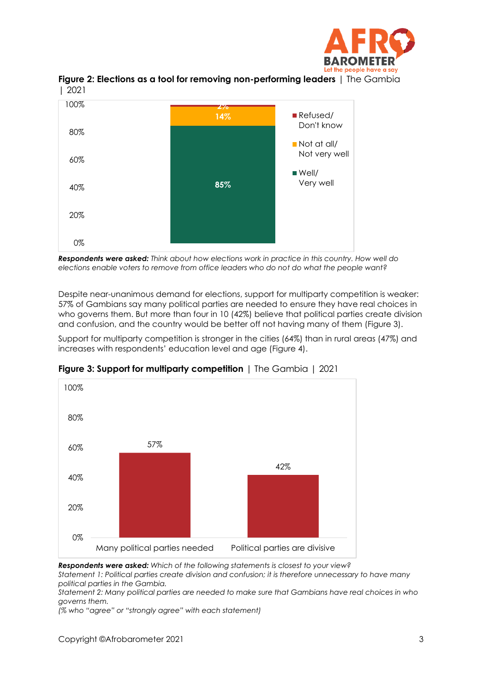





*Respondents were asked: Think about how elections work in practice in this country. How well do elections enable voters to remove from office leaders who do not do what the people want?*

Despite near-unanimous demand for elections, support for multiparty competition is weaker: 57% of Gambians say many political parties are needed to ensure they have real choices in who governs them. But more than four in 10 (42%) believe that political parties create division and confusion, and the country would be better off not having many of them (Figure 3).

Support for multiparty competition is stronger in the cities (64%) than in rural areas (47%) and increases with respondents' education level and age (Figure 4).



**Figure 3: Support for multiparty competition** | The Gambia | 2021

*Respondents were asked: Which of the following statements is closest to your view?*

*Statement 1: Political parties create division and confusion; it is therefore unnecessary to have many political parties in the Gambia.*

*Statement 2: Many political parties are needed to make sure that Gambians have real choices in who governs them.*

*(% who "agree" or "strongly agree" with each statement)*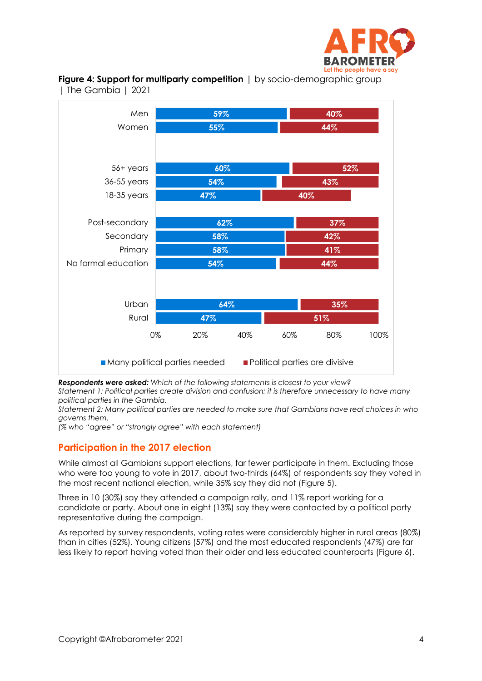





*Respondents were asked: Which of the following statements is closest to your view?*

*Statement 1: Political parties create division and confusion; it is therefore unnecessary to have many political parties in the Gambia.*

*Statement 2: Many political parties are needed to make sure that Gambians have real choices in who governs them.*

*(% who "agree" or "strongly agree" with each statement)*

## **Participation in the 2017 election**

While almost all Gambians support elections, far fewer participate in them. Excluding those who were too young to vote in 2017, about two-thirds (64%) of respondents say they voted in the most recent national election, while 35% say they did not (Figure 5).

Three in 10 (30%) say they attended a campaign rally, and 11% report working for a candidate or party. About one in eight (13%) say they were contacted by a political party representative during the campaign.

As reported by survey respondents, voting rates were considerably higher in rural areas (80%) than in cities (52%). Young citizens (57%) and the most educated respondents (47%) are far less likely to report having voted than their older and less educated counterparts (Figure 6).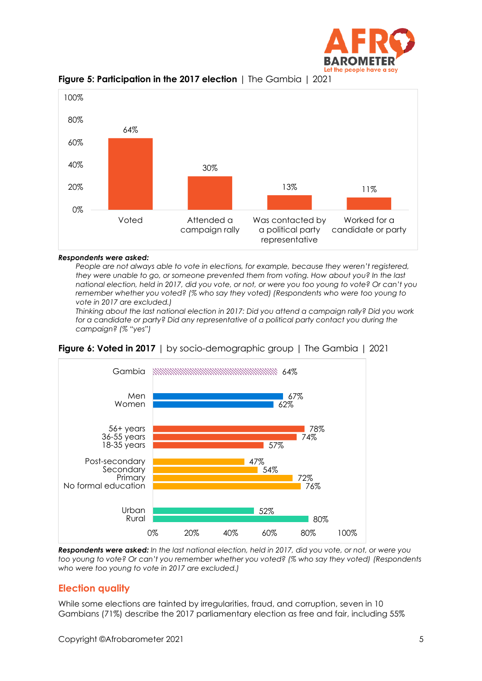





#### *Respondents were asked:*

*People are not always able to vote in elections, for example, because they weren't registered, they were unable to go, or someone prevented them from voting. How about you? In the last national election, held in 2017, did you vote, or not, or were you too young to vote? Or can't you remember whether you voted? (% who say they voted) (Respondents who were too young to vote in 2017 are excluded.)*

*Thinking about the last national election in 2017: Did you attend a campaign rally? Did you work for a candidate or party? Did any representative of a political party contact you during the campaign? (% "yes")*





*Respondents were asked: In the last national election, held in 2017, did you vote, or not, or were you too young to vote? Or can't you remember whether you voted? (% who say they voted) (Respondents who were too young to vote in 2017 are excluded.)*

## **Election quality**

While some elections are tainted by irregularities, fraud, and corruption, seven in 10 Gambians (71%) describe the 2017 parliamentary election as free and fair, including 55%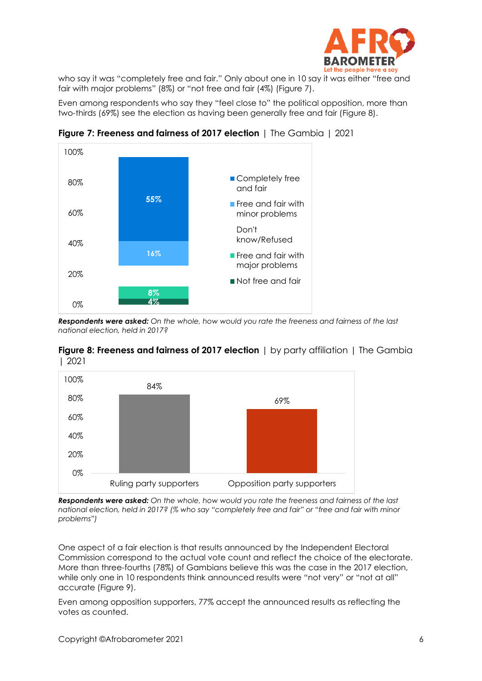

who say it was "completely free and fair." Only about one in 10 say it was either "free and fair with major problems" (8%) or "not free and fair (4%) (Figure 7).

Even among respondents who say they "feel close to" the political opposition, more than two-thirds (69%) see the election as having been generally free and fair (Figure 8).



**Figure 7: Freeness and fairness of 2017 election** | The Gambia | 2021

*Respondents were asked: On the whole, how would you rate the freeness and fairness of the last national election, held in 2017?*





*Respondents were asked: On the whole, how would you rate the freeness and fairness of the last national election, held in 2017? (% who say "completely free and fair" or "free and fair with minor problems")*

One aspect of a fair election is that results announced by the Independent Electoral Commission correspond to the actual vote count and reflect the choice of the electorate. More than three-fourths (78%) of Gambians believe this was the case in the 2017 election, while only one in 10 respondents think announced results were "not very" or "not at all" accurate (Figure 9).

Even among opposition supporters, 77% accept the announced results as reflecting the votes as counted.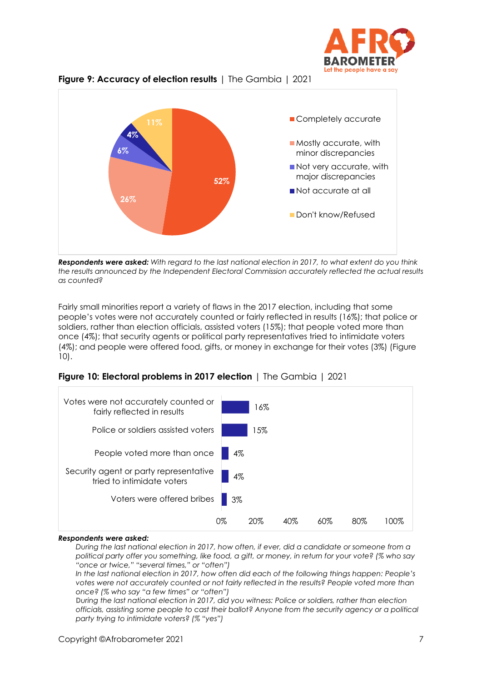





*Respondents were asked: With regard to the last national election in 2017, to what extent do you think the results announced by the Independent Electoral Commission accurately reflected the actual results as counted?*

Fairly small minorities report a variety of flaws in the 2017 election, including that some people's votes were not accurately counted or fairly reflected in results (16%); that police or soldiers, rather than election officials, assisted voters (15%); that people voted more than once (4%); that security agents or political party representatives tried to intimidate voters (4%); and people were offered food, gifts, or money in exchange for their votes (3%) (Figure 10).





#### *Respondents were asked:*

*During the last national election in 2017, how often, if ever, did a candidate or someone from a political party offer you something, like food, a gift, or money, in return for your vote? (% who say "once or twice," "several times," or "often")*

*In the last national election in 2017, how often did each of the following things happen: People's votes were not accurately counted or not fairly reflected in the results? People voted more than once? (% who say "a few times" or "often")*

**D***uring the last national election in 2017, did you witness: Police or soldiers, rather than election officials, assisting some people to cast their ballot? Anyone from the security agency or a political party trying to intimidate voters? (% "yes")*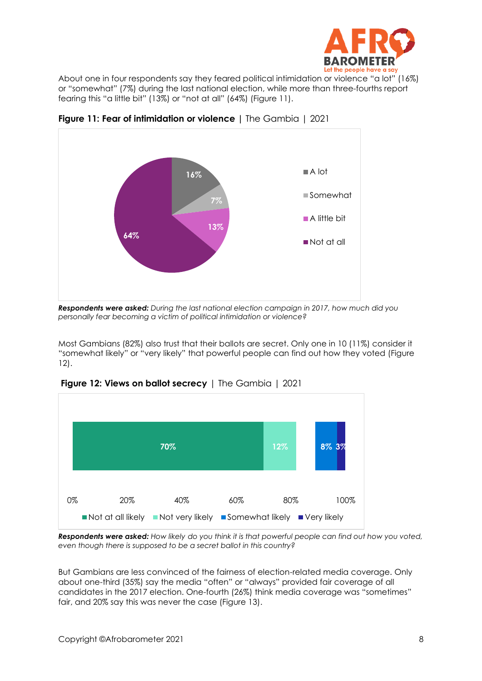

About one in four respondents say they feared political intimidation or violence "a lot" (16%) or "somewhat" (7%) during the last national election, while more than three-fourths report fearing this "a little bit" (13%) or "not at all" (64%) (Figure 11).



**Figure 11: Fear of intimidation or violence |** The Gambia | 2021

*Respondents were asked: During the last national election campaign in 2017, how much did you personally fear becoming a victim of political intimidation or violence?*

Most Gambians (82%) also trust that their ballots are secret. Only one in 10 (11%) consider it "somewhat likely" or "very likely" that powerful people can find out how they voted (Figure 12).



**Figure 12: Views on ballot secrecy** | The Gambia | 2021

*Respondents were asked: How likely do you think it is that powerful people can find out how you voted, even though there is supposed to be a secret ballot in this country?*

But Gambians are less convinced of the fairness of election-related media coverage. Only about one-third (35%) say the media "often" or "always" provided fair coverage of all candidates in the 2017 election. One-fourth (26%) think media coverage was "sometimes" fair, and 20% say this was never the case (Figure 13).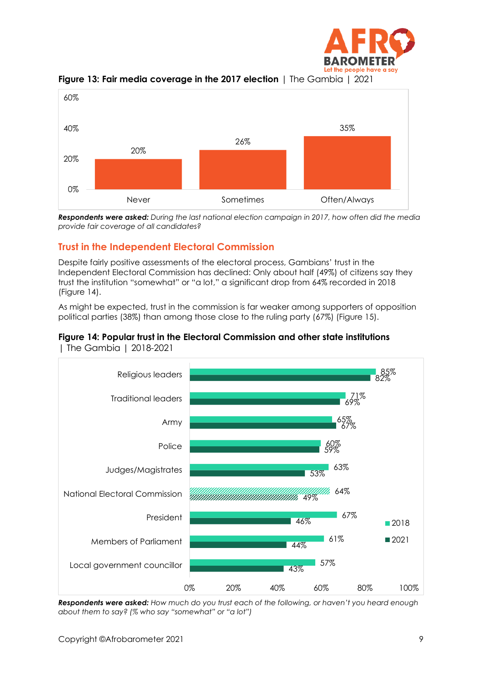





*Respondents were asked: During the last national election campaign in 2017, how often did the media provide fair coverage of all candidates?*

# **Trust in the Independent Electoral Commission**

Despite fairly positive assessments of the electoral process, Gambians' trust in the Independent Electoral Commission has declined: Only about half (49%) of citizens say they trust the institution "somewhat" or "a lot," a significant drop from 64% recorded in 2018 (Figure 14).

As might be expected, trust in the commission is far weaker among supporters of opposition political parties (38%) than among those close to the ruling party (67%) (Figure 15).



**Figure 14: Popular trust in the Electoral Commission and other state institutions**  | The Gambia | 2018-2021

*Respondents were asked: How much do you trust each of the following, or haven't you heard enough about them to say? (% who say "somewhat" or "a lot")*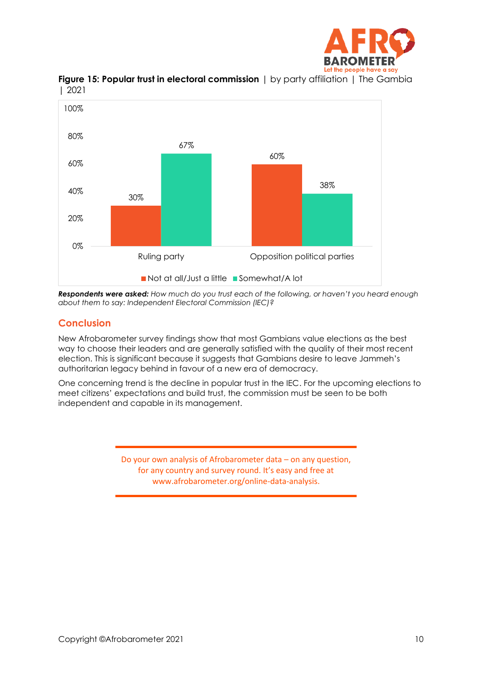



**Figure 15: Popular trust in electoral commission** | by party affiliation | The Gambia | 2021

*Respondents were asked: How much do you trust each of the following, or haven't you heard enough about them to say: Independent Electoral Commission (IEC)?* 

# **Conclusion**

New Afrobarometer survey findings show that most Gambians value elections as the best way to choose their leaders and are generally satisfied with the quality of their most recent election. This is significant because it suggests that Gambians desire to leave Jammeh's authoritarian legacy behind in favour of a new era of democracy.

One concerning trend is the decline in popular trust in the IEC. For the upcoming elections to meet citizens' expectations and build trust, the commission must be seen to be both independent and capable in its management.

> Do your own analysis of Afrobarometer data – on any question, for any country and survey round. It's easy and free at www.afrobarometer.org/online-data-analysis.